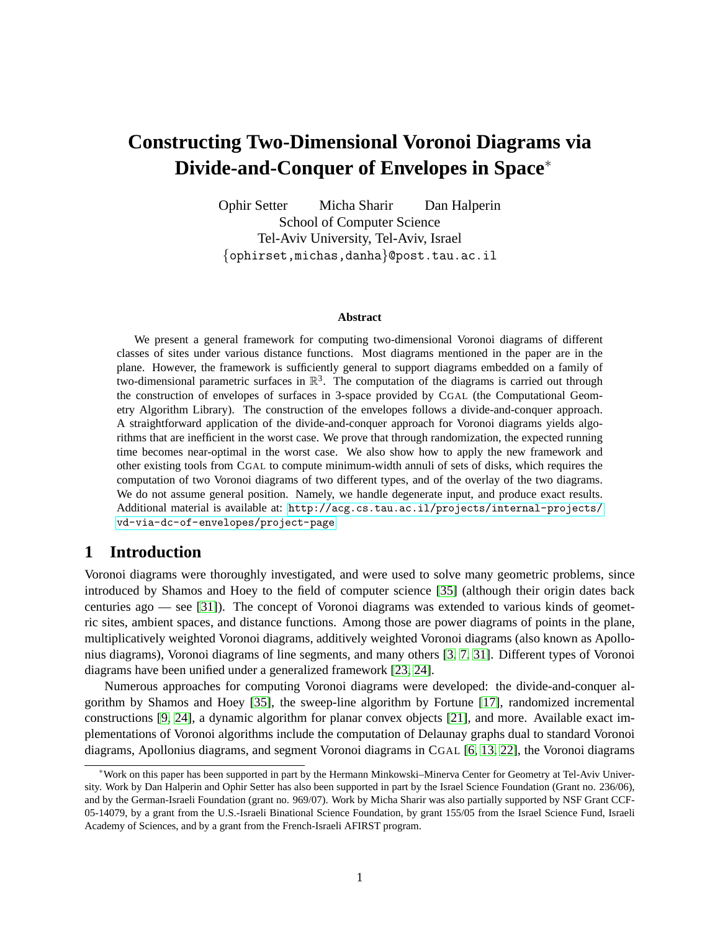# **Constructing Two-Dimensional Voronoi Diagrams via Divide-and-Conquer of Envelopes in Space**<sup>∗</sup>

Ophir Setter Micha Sharir Dan Halperin School of Computer Science Tel-Aviv University, Tel-Aviv, Israel {ophirset,michas,danha}@post.tau.ac.il

#### **Abstract**

We present a general framework for computing two-dimensional Voronoi diagrams of different classes of sites under various distance functions. Most diagrams mentioned in the paper are in the plane. However, the framework is sufficiently general to support diagrams embedded on a family of two-dimensional parametric surfaces in  $\mathbb{R}^3$ . The computation of the diagrams is carried out through the construction of envelopes of surfaces in 3-space provided by CGAL (the Computational Geometry Algorithm Library). The construction of the envelopes follows a divide-and-conquer approach. A straightforward application of the divide-and-conquer approach for Voronoi diagrams yields algorithms that are inefficient in the worst case. We prove that through randomization, the expected running time becomes near-optimal in the worst case. We also show how to apply the new framework and other existing tools from CGAL to compute minimum-width annuli of sets of disks, which requires the computation of two Voronoi diagrams of two different types, and of the overlay of the two diagrams. We do not assume general position. Namely, we handle degenerate input, and produce exact results. Additional material is available at: [http://acg.cs.tau.ac.il/projects/internal-projects/](http://acg.cs.tau.ac.il/projects/internal-projects/vd-via-dc-of-envelopes/project-page) [vd-via-dc-of-envelopes/project-page](http://acg.cs.tau.ac.il/projects/internal-projects/vd-via-dc-of-envelopes/project-page)

# **1 Introduction**

Voronoi diagrams were thoroughly investigated, and were used to solve many geometric problems, since introduced by Shamos and Hoey to the field of computer science [\[35\]](#page-10-0) (although their origin dates back centuries ago — see [\[31\]](#page-10-1)). The concept of Voronoi diagrams was extended to various kinds of geometric sites, ambient spaces, and distance functions. Among those are power diagrams of points in the plane, multiplicatively weighted Voronoi diagrams, additively weighted Voronoi diagrams (also known as Apollonius diagrams), Voronoi diagrams of line segments, and many others [\[3,](#page-9-0) [7,](#page-9-1) [31\]](#page-10-1). Different types of Voronoi diagrams have been unified under a generalized framework [\[23,](#page-10-2) [24\]](#page-10-3).

Numerous approaches for computing Voronoi diagrams were developed: the divide-and-conquer algorithm by Shamos and Hoey [\[35\]](#page-10-0), the sweep-line algorithm by Fortune [\[17\]](#page-9-2), randomized incremental constructions [\[9,](#page-9-3) [24\]](#page-10-3), a dynamic algorithm for planar convex objects [\[21\]](#page-10-4), and more. Available exact implementations of Voronoi algorithms include the computation of Delaunay graphs dual to standard Voronoi diagrams, Apollonius diagrams, and segment Voronoi diagrams in CGAL [\[6,](#page-9-4) [13,](#page-9-5) [22\]](#page-10-5), the Voronoi diagrams

<sup>∗</sup>Work on this paper has been supported in part by the Hermann Minkowski–Minerva Center for Geometry at Tel-Aviv University. Work by Dan Halperin and Ophir Setter has also been supported in part by the Israel Science Foundation (Grant no. 236/06), and by the German-Israeli Foundation (grant no. 969/07). Work by Micha Sharir was also partially supported by NSF Grant CCF-05-14079, by a grant from the U.S.-Israeli Binational Science Foundation, by grant 155/05 from the Israel Science Fund, Israeli Academy of Sciences, and by a grant from the French-Israeli AFIRST program.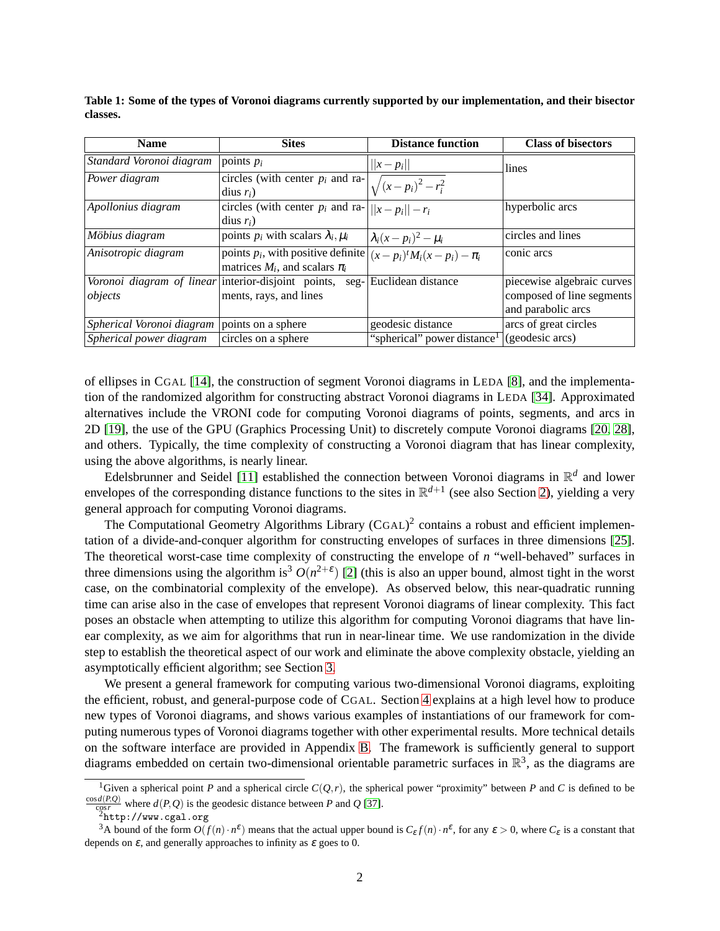| <b>Name</b>               | <b>Sites</b>                                                                 | <b>Distance function</b>                | <b>Class of bisectors</b>  |
|---------------------------|------------------------------------------------------------------------------|-----------------------------------------|----------------------------|
| Standard Voronoi diagram  | points $p_i$                                                                 | $  x-p_i  $                             | lines                      |
| Power diagram             | circles (with center $p_i$ and ra- $\left  \sqrt{(x-p_i)^2 - r_i^2} \right $ |                                         |                            |
|                           | dius $r_i$ )                                                                 |                                         |                            |
| Apollonius diagram        | circles (with center $p_i$ and ra- $  x-p_i   - r_i$                         |                                         | hyperbolic arcs            |
|                           | $dius r_i$                                                                   |                                         |                            |
| Möbius diagram            | points $p_i$ with scalars $\lambda_i, \mu_i$                                 | $\left \lambda_i(x-p_i)^2-\mu_i\right $ | circles and lines          |
| Anisotropic diagram       | points $p_i$ , with positive definite $ (x-p_i)^t M_i(x-p_i) - \pi_i $       |                                         | conic arcs                 |
|                           | matrices $M_i$ , and scalars $\pi_i$                                         |                                         |                            |
| Voronoi diagram of linear | interior-disjoint points,<br>$seg-$                                          | Euclidean distance                      | piecewise algebraic curves |
| objects                   | ments, rays, and lines                                                       |                                         | composed of line segments  |
|                           |                                                                              |                                         | and parabolic arcs         |
| Spherical Voronoi diagram | points on a sphere                                                           | geodesic distance                       | arcs of great circles      |
| Spherical power diagram   | circles on a sphere                                                          | "spherical" power distance <sup>1</sup> | (geodesic arcs)            |

<span id="page-1-0"></span>**Table 1: Some of the types of Voronoi diagrams currently supported by our implementation, and their bisector classes.**

of ellipses in CGAL [\[14\]](#page-9-6), the construction of segment Voronoi diagrams in LEDA [\[8\]](#page-9-7), and the implementation of the randomized algorithm for constructing abstract Voronoi diagrams in LEDA [\[34\]](#page-10-6). Approximated alternatives include the VRONI code for computing Voronoi diagrams of points, segments, and arcs in 2D [\[19\]](#page-10-7), the use of the GPU (Graphics Processing Unit) to discretely compute Voronoi diagrams [\[20,](#page-10-8) [28\]](#page-10-9), and others. Typically, the time complexity of constructing a Voronoi diagram that has linear complexity, using the above algorithms, is nearly linear.

Edelsbrunner and Seidel [\[11\]](#page-9-8) established the connection between Voronoi diagrams in  $\mathbb{R}^d$  and lower envelopes of the corresponding distance functions to the sites in  $\mathbb{R}^{d+1}$  (see also Section [2\)](#page-2-0), yielding a very general approach for computing Voronoi diagrams.

The Computational Geometry Algorithms Library (CGAL)<sup>2</sup> contains a robust and efficient implementation of a divide-and-conquer algorithm for constructing envelopes of surfaces in three dimensions [\[25\]](#page-10-10). The theoretical worst-case time complexity of constructing the envelope of *n* "well-behaved" surfaces in three dimensions using the algorithm is<sup>3</sup>  $O(n^{2+\epsilon})$  [\[2\]](#page-9-9) (this is also an upper bound, almost tight in the worst case, on the combinatorial complexity of the envelope). As observed below, this near-quadratic running time can arise also in the case of envelopes that represent Voronoi diagrams of linear complexity. This fact poses an obstacle when attempting to utilize this algorithm for computing Voronoi diagrams that have linear complexity, as we aim for algorithms that run in near-linear time. We use randomization in the divide step to establish the theoretical aspect of our work and eliminate the above complexity obstacle, yielding an asymptotically efficient algorithm; see Section [3.](#page-4-0)

We present a general framework for computing various two-dimensional Voronoi diagrams, exploiting the efficient, robust, and general-purpose code of CGAL. Section [4](#page-5-0) explains at a high level how to produce new types of Voronoi diagrams, and shows various examples of instantiations of our framework for computing numerous types of Voronoi diagrams together with other experimental results. More technical details on the software interface are provided in Appendix [B.](#page-13-0) The framework is sufficiently general to support diagrams embedded on certain two-dimensional orientable parametric surfaces in  $\mathbb{R}^3$ , as the diagrams are

<sup>&</sup>lt;sup>1</sup>Given a spherical point *P* and a spherical circle  $C(Q,r)$ , the spherical power "proximity" between *P* and *C* is defined to be  $\frac{\cos d(P,Q)}{\cos r}$  where  $d(P,Q)$  is the geodesic distance between *P* and *Q* [\[37\]](#page-11-0).

 $\frac{\cos r}{2}$  where  $u(r, Q)$  is the  $\frac{2}{r}$ http://www.cgal.org

<sup>&</sup>lt;sup>3</sup>A bound of the form  $O(f(n) \cdot n^{\epsilon})$  means that the actual upper bound is  $C_{\epsilon} f(n) \cdot n^{\epsilon}$ , for any  $\epsilon > 0$ , where  $C_{\epsilon}$  is a constant that depends on  $\varepsilon$ , and generally approaches to infinity as  $\varepsilon$  goes to 0.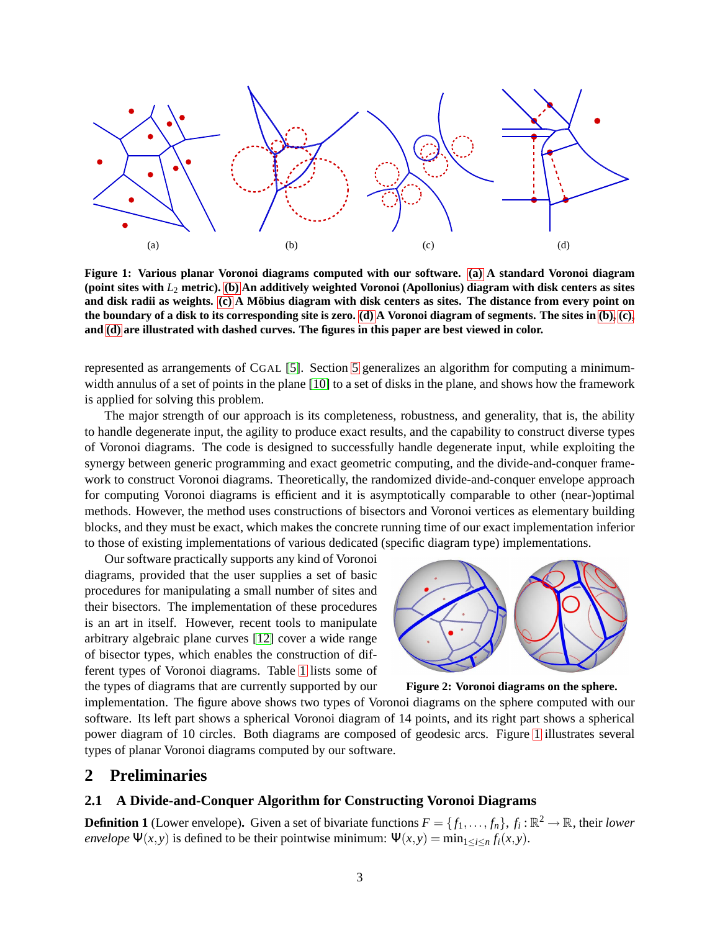<span id="page-2-1"></span>

<span id="page-2-5"></span><span id="page-2-3"></span><span id="page-2-2"></span>**Figure 1: Various planar Voronoi diagrams computed with our software. [\(a\)](#page-2-1) A standard Voronoi diagram (point sites with** *L*<sup>2</sup> **metric). [\(b\)](#page-2-2) An additively weighted Voronoi (Apollonius) diagram with disk centers as sites and disk radii as weights. [\(c\)](#page-2-3) A Mobius diagram with disk centers as sites. The distance from e ¨ very point on the boundary of a disk to its corresponding site is zero. [\(d\)](#page-2-4) A Voronoi diagram of segments. The sites in [\(b\),](#page-2-2) [\(c\),](#page-2-3) and [\(d\)](#page-2-4) are illustrated with dashed curves. The figures in this paper are best viewed in color.**

represented as arrangements of CGAL [\[5\]](#page-9-10). Section [5](#page-6-0) generalizes an algorithm for computing a minimum-width annulus of a set of points in the plane [\[10\]](#page-9-11) to a set of disks in the plane, and shows how the framework is applied for solving this problem.

The major strength of our approach is its completeness, robustness, and generality, that is, the ability to handle degenerate input, the agility to produce exact results, and the capability to construct diverse types of Voronoi diagrams. The code is designed to successfully handle degenerate input, while exploiting the synergy between generic programming and exact geometric computing, and the divide-and-conquer framework to construct Voronoi diagrams. Theoretically, the randomized divide-and-conquer envelope approach for computing Voronoi diagrams is efficient and it is asymptotically comparable to other (near-)optimal methods. However, the method uses constructions of bisectors and Voronoi vertices as elementary building blocks, and they must be exact, which makes the concrete running time of our exact implementation inferior to those of existing implementations of various dedicated (specific diagram type) implementations.

Our software practically supports any kind of Voronoi diagrams, provided that the user supplies a set of basic procedures for manipulating a small number of sites and their bisectors. The implementation of these procedures is an art in itself. However, recent tools to manipulate arbitrary algebraic plane curves [\[12\]](#page-9-12) cover a wide range of bisector types, which enables the construction of different types of Voronoi diagrams. Table [1](#page-1-0) lists some of the types of diagrams that are currently supported by our

<span id="page-2-4"></span>

<span id="page-2-7"></span>**Figure 2: Voronoi diagrams on the sphere.**

implementation. The figure above shows two types of Voronoi diagrams on the sphere computed with our software. Its left part shows a spherical Voronoi diagram of 14 points, and its right part shows a spherical power diagram of 10 circles. Both diagrams are composed of geodesic arcs. Figure [1](#page-2-5) illustrates several types of planar Voronoi diagrams computed by our software.

# <span id="page-2-6"></span><span id="page-2-0"></span>**2 Preliminaries**

#### **2.1 A Divide-and-Conquer Algorithm for Constructing Voronoi Diagrams**

**Definition 1** (Lower envelope). Given a set of bivariate functions  $F = \{f_1, \ldots, f_n\}$ ,  $f_i : \mathbb{R}^2 \to \mathbb{R}$ , their *lower envelope*  $\Psi(x, y)$  is defined to be their pointwise minimum:  $\Psi(x, y) = \min_{1 \le i \le n} f_i(x, y)$ .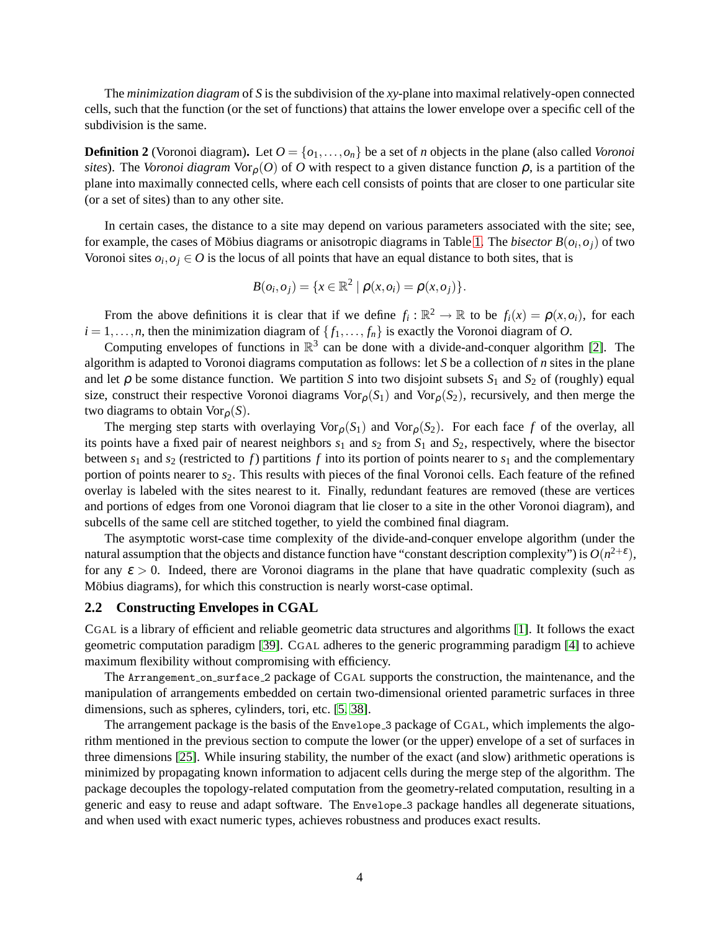The *minimization diagram* of *S* is the subdivision of the *xy*-plane into maximal relatively-open connected cells, such that the function (or the set of functions) that attains the lower envelope over a specific cell of the subdivision is the same.

**Definition 2** (Voronoi diagram). Let  $O = \{o_1, \ldots, o_n\}$  be a set of *n* objects in the plane (also called *Voronoi sites*). The *Voronoi diagram*  $\text{Vor}_{\rho}(O)$  of *O* with respect to a given distance function  $\rho$ , is a partition of the plane into maximally connected cells, where each cell consists of points that are closer to one particular site (or a set of sites) than to any other site.

In certain cases, the distance to a site may depend on various parameters associated with the site; see, for example, the cases of Möbius diagrams or anisotropic diagrams in Table [1.](#page-1-0) The *bisector B*( $o_i, o_j$ ) of two Voronoi sites  $o_i$ ,  $o_j \in O$  is the locus of all points that have an equal distance to both sites, that is

$$
B(o_i, o_j) = \{x \in \mathbb{R}^2 \mid \rho(x, o_i) = \rho(x, o_j)\}.
$$

From the above definitions it is clear that if we define  $f_i : \mathbb{R}^2 \to \mathbb{R}$  to be  $f_i(x) = \rho(x, o_i)$ , for each  $i = 1, \ldots, n$ , then the minimization diagram of  $\{f_1, \ldots, f_n\}$  is exactly the Voronoi diagram of *O*.

Computing envelopes of functions in  $\mathbb{R}^3$  can be done with a divide-and-conquer algorithm [\[2\]](#page-9-9). The algorithm is adapted to Voronoi diagrams computation as follows: let *S* be a collection of *n* sites in the plane and let  $\rho$  be some distance function. We partition *S* into two disjoint subsets  $S_1$  and  $S_2$  of (roughly) equal size, construct their respective Voronoi diagrams  $\text{Vor}_{\rho}(S_1)$  and  $\text{Vor}_{\rho}(S_2)$ , recursively, and then merge the two diagrams to obtain  $\text{Vor}_{\rho}(S)$ .

The merging step starts with overlaying  $\text{Vor}_{\rho}(S_1)$  and  $\text{Vor}_{\rho}(S_2)$ . For each face f of the overlay, all its points have a fixed pair of nearest neighbors  $s_1$  and  $s_2$  from  $S_1$  and  $S_2$ , respectively, where the bisector between  $s_1$  and  $s_2$  (restricted to  $f$ ) partitions  $f$  into its portion of points nearer to  $s_1$  and the complementary portion of points nearer to *s*2. This results with pieces of the final Voronoi cells. Each feature of the refined overlay is labeled with the sites nearest to it. Finally, redundant features are removed (these are vertices and portions of edges from one Voronoi diagram that lie closer to a site in the other Voronoi diagram), and subcells of the same cell are stitched together, to yield the combined final diagram.

The asymptotic worst-case time complexity of the divide-and-conquer envelope algorithm (under the natural assumption that the objects and distance function have "constant description complexity") is  $O(n^{2+\epsilon}),$ for any  $\varepsilon > 0$ . Indeed, there are Voronoi diagrams in the plane that have quadratic complexity (such as Möbius diagrams), for which this construction is nearly worst-case optimal.

#### **2.2 Constructing Envelopes in CGAL**

CGAL is a library of efficient and reliable geometric data structures and algorithms [\[1\]](#page-9-13). It follows the exact geometric computation paradigm [\[39\]](#page-11-1). CGAL adheres to the generic programming paradigm [\[4\]](#page-9-14) to achieve maximum flexibility without compromising with efficiency.

The Arrangement on surface 2 package of CGAL supports the construction, the maintenance, and the manipulation of arrangements embedded on certain two-dimensional oriented parametric surfaces in three dimensions, such as spheres, cylinders, tori, etc. [\[5,](#page-9-10) [38\]](#page-11-2).

The arrangement package is the basis of the Envelope 3 package of CGAL, which implements the algorithm mentioned in the previous section to compute the lower (or the upper) envelope of a set of surfaces in three dimensions [\[25\]](#page-10-10). While insuring stability, the number of the exact (and slow) arithmetic operations is minimized by propagating known information to adjacent cells during the merge step of the algorithm. The package decouples the topology-related computation from the geometry-related computation, resulting in a generic and easy to reuse and adapt software. The Envelope 3 package handles all degenerate situations, and when used with exact numeric types, achieves robustness and produces exact results.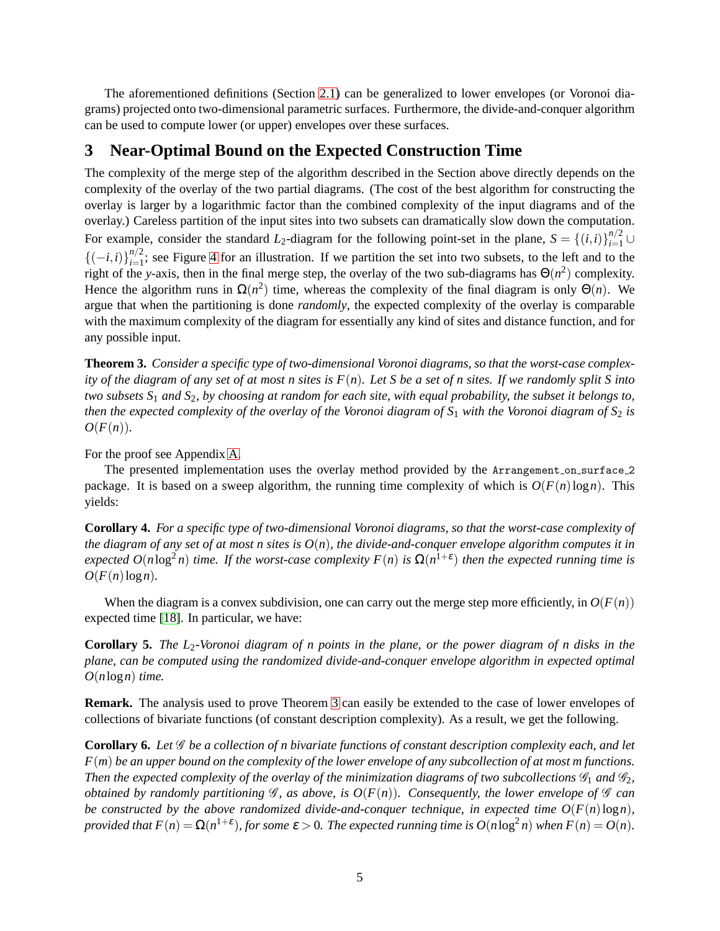The aforementioned definitions (Section [2.1\)](#page-2-6) can be generalized to lower envelopes (or Voronoi diagrams) projected onto two-dimensional parametric surfaces. Furthermore, the divide-and-conquer algorithm can be used to compute lower (or upper) envelopes over these surfaces.

# <span id="page-4-0"></span>**3 Near-Optimal Bound on the Expected Construction Time**

The complexity of the merge step of the algorithm described in the Section above directly depends on the complexity of the overlay of the two partial diagrams. (The cost of the best algorithm for constructing the overlay is larger by a logarithmic factor than the combined complexity of the input diagrams and of the overlay.) Careless partition of the input sites into two subsets can dramatically slow down the computation. For example, consider the standard *L*<sub>2</sub>-diagram for the following point-set in the plane,  $S = \{(i,i)\}_{i=1}^{n/2} \cup$  ${(-i,i)}_{i=1}^{n/2}$  $\frac{n}{2}$ ; see Figure [4](#page-5-0) for an illustration. If we partition the set into two subsets, to the left and to the right of the *y*-axis, then in the final merge step, the overlay of the two sub-diagrams has  $\Theta(n^2)$  complexity. Hence the algorithm runs in  $\Omega(n^2)$  time, whereas the complexity of the final diagram is only  $\Theta(n)$ . We argue that when the partitioning is done *randomly*, the expected complexity of the overlay is comparable with the maximum complexity of the diagram for essentially any kind of sites and distance function, and for any possible input.

<span id="page-4-1"></span>**Theorem 3.** *Consider a specific type of two-dimensional Voronoi diagrams, so that the worst-case complexity of the diagram of any set of at most n sites is F*(*n*)*. Let S be a set of n sites. If we randomly split S into two subsets S*<sup>1</sup> *and S*2*, by choosing at random for each site, with equal probability, the subset it belongs to, then the expected complexity of the overlay of the Voronoi diagram of S*<sup>1</sup> *with the Voronoi diagram of S*<sup>2</sup> *is*  $O(F(n)).$ 

For the proof see Appendix [A.](#page-12-0)

The presented implementation uses the overlay method provided by the Arrangement on surface 2 package. It is based on a sweep algorithm, the running time complexity of which is  $O(F(n) \log n)$ . This yields:

<span id="page-4-2"></span>**Corollary 4.** *For a specific type of two-dimensional Voronoi diagrams, so that the worst-case complexity of the diagram of any set of at most n sites is*  $O(n)$ *, the divide-and-conquer envelope algorithm computes it in*  $e$ xpected  $O(n \log^2 n)$  time. If the worst-case complexity  $F(n)$  is  $\Omega(n^{1+\epsilon})$  then the expected running time is  $O(F(n)\log n)$ .

When the diagram is a convex subdivision, one can carry out the merge step more efficiently, in  $O(F(n))$ expected time [\[18\]](#page-9-15). In particular, we have:

**Corollary 5.** *The L*2*-Voronoi diagram of n points in the plane, or the power diagram of n disks in the plane, can be computed using the randomized divide-and-conquer envelope algorithm in expected optimal O*(*n*log*n*) *time.*

**Remark.** The analysis used to prove Theorem [3](#page-4-1) can easily be extended to the case of lower envelopes of collections of bivariate functions (of constant description complexity). As a result, we get the following.

**Corollary 6.** *Let* G *be a collection of n bivariate functions of constant description complexity each, and let F*(*m*) *be an upper bound on the complexity of the lower envelope of any subcollection of at most m functions. Then the expected complexity of the overlay of the minimization diagrams of two subcollections*  $\mathcal{G}_1$  *and*  $\mathcal{G}_2$ *, obtained by randomly partitioning*  $\mathcal{G}$ *, as above, is*  $O(F(n))$ *. Consequently, the lower envelope of*  $\mathcal{G}$ *can be constructed by the above randomized divide-and-conquer technique, in expected time*  $O(F(n) \log n)$ *, provided that*  $F(n) = \Omega(n^{1+\epsilon})$ , for some  $\epsilon > 0$ . The expected running time is  $O(n \log^2 n)$  when  $F(n) = O(n)$ .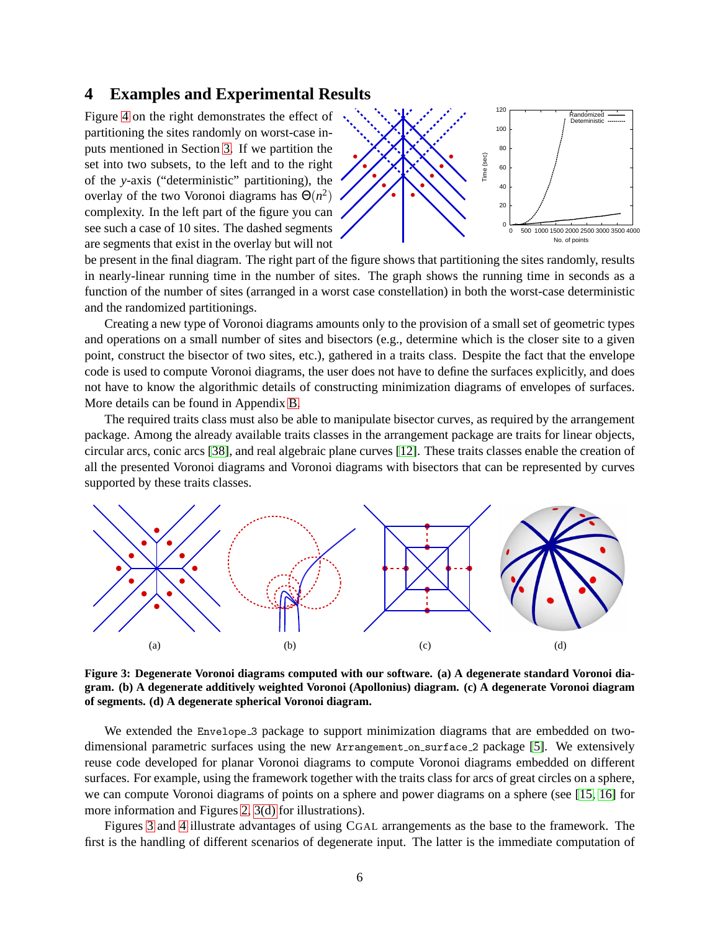## <span id="page-5-0"></span>**4 Examples and Experimental Results**

partitioning the sites randomly on worst-case inputs mentioned in Section [3.](#page-4-0) If we partition the set into two subsets, to the left and to the right of the *y*-axis ("deterministic" partitioning), the overlay of the two Voronoi diagrams has  $\Theta(n^2)$ complexity. In the left part of the figure you can see such a case of 10 sites. The dashed segments are segments that exist in the overlay but will not



be present in the final diagram. The right part of the figure shows that partitioning the sites randomly, results in nearly-linear running time in the number of sites. The graph shows the running time in seconds as a function of the number of sites (arranged in a worst case constellation) in both the worst-case deterministic and the randomized partitionings.

Creating a new type of Voronoi diagrams amounts only to the provision of a small set of geometric types and operations on a small number of sites and bisectors (e.g., determine which is the closer site to a given point, construct the bisector of two sites, etc.), gathered in a traits class. Despite the fact that the envelope code is used to compute Voronoi diagrams, the user does not have to define the surfaces explicitly, and does not have to know the algorithmic details of constructing minimization diagrams of envelopes of surfaces. More details can be found in Appendix [B.](#page-13-0)

The required traits class must also be able to manipulate bisector curves, as required by the arrangement package. Among the already available traits classes in the arrangement package are traits for linear objects, circular arcs, conic arcs [\[38\]](#page-11-2), and real algebraic plane curves [\[12\]](#page-9-12). These traits classes enable the creation of all the presented Voronoi diagrams and Voronoi diagrams with bisectors that can be represented by curves supported by these traits classes.



<span id="page-5-2"></span><span id="page-5-1"></span>**Figure 3: Degenerate Voronoi diagrams computed with our software. (a) A degenerate standard Voronoi diagram. (b) A degenerate additively weighted Voronoi (Apollonius) diagram. (c) A degenerate Voronoi diagram of segments. (d) A degenerate spherical Voronoi diagram.**

We extended the Envelope 3 package to support minimization diagrams that are embedded on twodimensional parametric surfaces using the new Arrangement on surface 2 package [\[5\]](#page-9-10). We extensively reuse code developed for planar Voronoi diagrams to compute Voronoi diagrams embedded on different surfaces. For example, using the framework together with the traits class for arcs of great circles on a sphere, we can compute Voronoi diagrams of points on a sphere and power diagrams on a sphere (see [\[15,](#page-9-16) [16\]](#page-9-17) for more information and Figures [2,](#page-2-7) [3\(d\)](#page-5-1) for illustrations).

Figures [3](#page-5-2) and [4](#page-6-1) illustrate advantages of using CGAL arrangements as the base to the framework. The first is the handling of different scenarios of degenerate input. The latter is the immediate computation of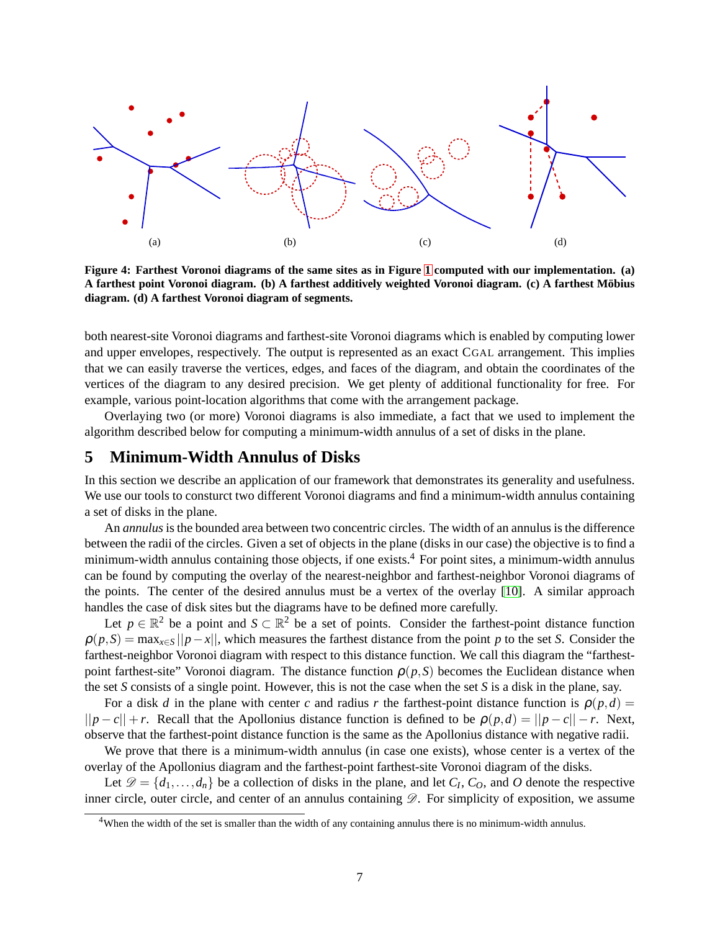

<span id="page-6-1"></span>**Figure 4: Farthest Voronoi diagrams of the same sites as in Figure [1](#page-2-5) computed with our implementation. (a) A farthest point Voronoi diagram. (b) A farthest additively weighted Voronoi diagram. (c) A farthest Mobius ¨ diagram. (d) A farthest Voronoi diagram of segments.**

both nearest-site Voronoi diagrams and farthest-site Voronoi diagrams which is enabled by computing lower and upper envelopes, respectively. The output is represented as an exact CGAL arrangement. This implies that we can easily traverse the vertices, edges, and faces of the diagram, and obtain the coordinates of the vertices of the diagram to any desired precision. We get plenty of additional functionality for free. For example, various point-location algorithms that come with the arrangement package.

<span id="page-6-0"></span>Overlaying two (or more) Voronoi diagrams is also immediate, a fact that we used to implement the algorithm described below for computing a minimum-width annulus of a set of disks in the plane.

# **5 Minimum-Width Annulus of Disks**

In this section we describe an application of our framework that demonstrates its generality and usefulness. We use our tools to consturct two different Voronoi diagrams and find a minimum-width annulus containing a set of disks in the plane.

An *annulus* is the bounded area between two concentric circles. The width of an annulus is the difference between the radii of the circles. Given a set of objects in the plane (disks in our case) the objective is to find a minimum-width annulus containing those objects, if one exists.<sup>4</sup> For point sites, a minimum-width annulus can be found by computing the overlay of the nearest-neighbor and farthest-neighbor Voronoi diagrams of the points. The center of the desired annulus must be a vertex of the overlay [\[10\]](#page-9-11). A similar approach handles the case of disk sites but the diagrams have to be defined more carefully.

Let  $p \in \mathbb{R}^2$  be a point and  $S \subset \mathbb{R}^2$  be a set of points. Consider the farthest-point distance function  $\rho(p, S) = \max_{x \in S} ||p - x||$ , which measures the farthest distance from the point *p* to the set *S*. Consider the farthest-neighbor Voronoi diagram with respect to this distance function. We call this diagram the "farthestpoint farthest-site" Voronoi diagram. The distance function  $\rho(p, S)$  becomes the Euclidean distance when the set *S* consists of a single point. However, this is not the case when the set *S* is a disk in the plane, say.

For a disk *d* in the plane with center *c* and radius *r* the farthest-point distance function is  $\rho(p,d)$  =  $||p - c|| + r$ . Recall that the Apollonius distance function is defined to be  $\rho(p,d) = ||p - c|| - r$ . Next, observe that the farthest-point distance function is the same as the Apollonius distance with negative radii.

We prove that there is a minimum-width annulus (in case one exists), whose center is a vertex of the overlay of the Apollonius diagram and the farthest-point farthest-site Voronoi diagram of the disks.

Let  $\mathcal{D} = \{d_1, \ldots, d_n\}$  be a collection of disks in the plane, and let  $C_I$ ,  $C_O$ , and  $O$  denote the respective inner circle, outer circle, and center of an annulus containing  $\mathscr{D}$ . For simplicity of exposition, we assume

<sup>&</sup>lt;sup>4</sup>When the width of the set is smaller than the width of any containing annulus there is no minimum-width annulus.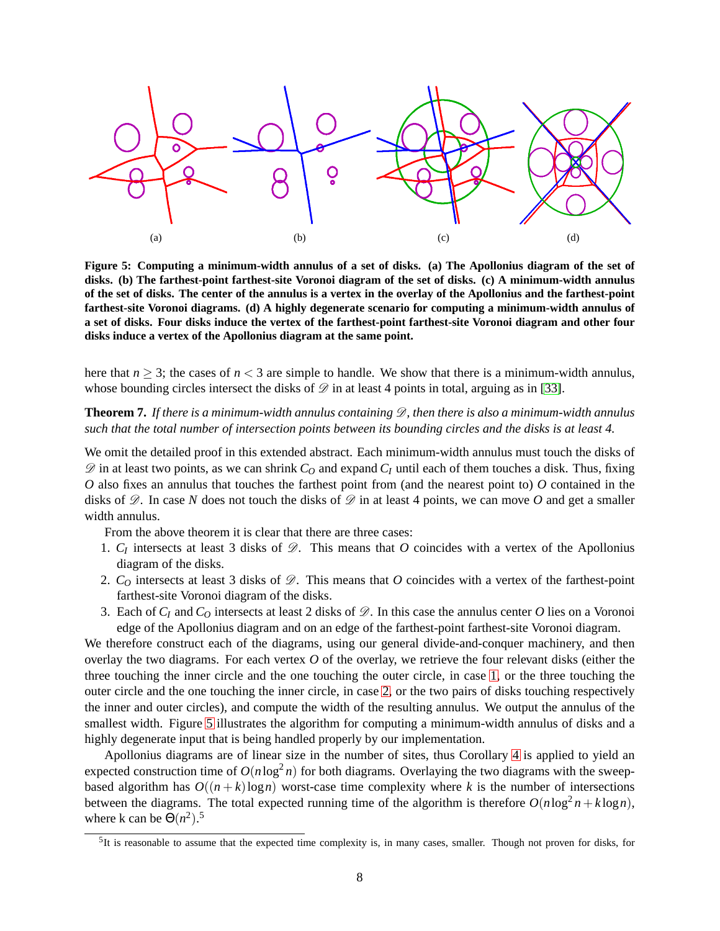

<span id="page-7-3"></span><span id="page-7-2"></span>**Figure 5: Computing a minimum-width annulus of a set of disks. (a) The Apollonius diagram of the set of disks. (b) The farthest-point farthest-site Voronoi diagram of the set of disks. (c) A minimum-width annulus of the set of disks. The center of the annulus is a vertex in the overlay of the Apollonius and the farthest-point farthest-site Voronoi diagrams. (d) A highly degenerate scenario for computing a minimum-width annulus of a set of disks. Four disks induce the vertex of the farthest-point farthest-site Voronoi diagram and other four disks induce a vertex of the Apollonius diagram at the same point.**

here that  $n \geq 3$ ; the cases of  $n < 3$  are simple to handle. We show that there is a minimum-width annulus, whose bounding circles intersect the disks of  $\mathscr D$  in at least 4 points in total, arguing as in [\[33\]](#page-10-11).

#### **Theorem 7.** If there is a minimum-width annulus containing  $\mathscr{D}$ , then there is also a minimum-width annulus *such that the total number of intersection points between its bounding circles and the disks is at least 4.*

We omit the detailed proof in this extended abstract. Each minimum-width annulus must touch the disks of  $\mathscr{D}$  in at least two points, as we can shrink  $C_Q$  and expand  $C_I$  until each of them touches a disk. Thus, fixing *O* also fixes an annulus that touches the farthest point from (and the nearest point to) *O* contained in the disks of  $\mathscr{D}$ . In case *N* does not touch the disks of  $\mathscr{D}$  in at least 4 points, we can move *O* and get a smaller width annulus.

From the above theorem it is clear that there are three cases:

- <span id="page-7-0"></span>1.  $C_I$  intersects at least 3 disks of  $\mathscr{D}$ . This means that  $O$  coincides with a vertex of the Apollonius diagram of the disks.
- <span id="page-7-1"></span>2.  $C<sub>O</sub>$  intersects at least 3 disks of  $\mathscr{D}$ . This means that *O* coincides with a vertex of the farthest-point farthest-site Voronoi diagram of the disks.
- 3. Each of  $C_I$  and  $C_O$  intersects at least 2 disks of  $\mathscr{D}$ . In this case the annulus center O lies on a Voronoi edge of the Apollonius diagram and on an edge of the farthest-point farthest-site Voronoi diagram.

We therefore construct each of the diagrams, using our general divide-and-conquer machinery, and then overlay the two diagrams. For each vertex *O* of the overlay, we retrieve the four relevant disks (either the three touching the inner circle and the one touching the outer circle, in case [1,](#page-7-0) or the three touching the outer circle and the one touching the inner circle, in case [2,](#page-7-1) or the two pairs of disks touching respectively the inner and outer circles), and compute the width of the resulting annulus. We output the annulus of the smallest width. Figure [5](#page-7-2) illustrates the algorithm for computing a minimum-width annulus of disks and a highly degenerate input that is being handled properly by our implementation.

Apollonius diagrams are of linear size in the number of sites, thus Corollary [4](#page-4-2) is applied to yield an expected construction time of  $O(n \log^2 n)$  for both diagrams. Overlaying the two diagrams with the sweepbased algorithm has  $O((n+k)\log n)$  worst-case time complexity where k is the number of intersections between the diagrams. The total expected running time of the algorithm is therefore  $O(n \log^2 n + k \log n)$ , where k can be  $\Theta(n^2)$ .<sup>5</sup>

 ${}^{5}$ It is reasonable to assume that the expected time complexity is, in many cases, smaller. Though not proven for disks, for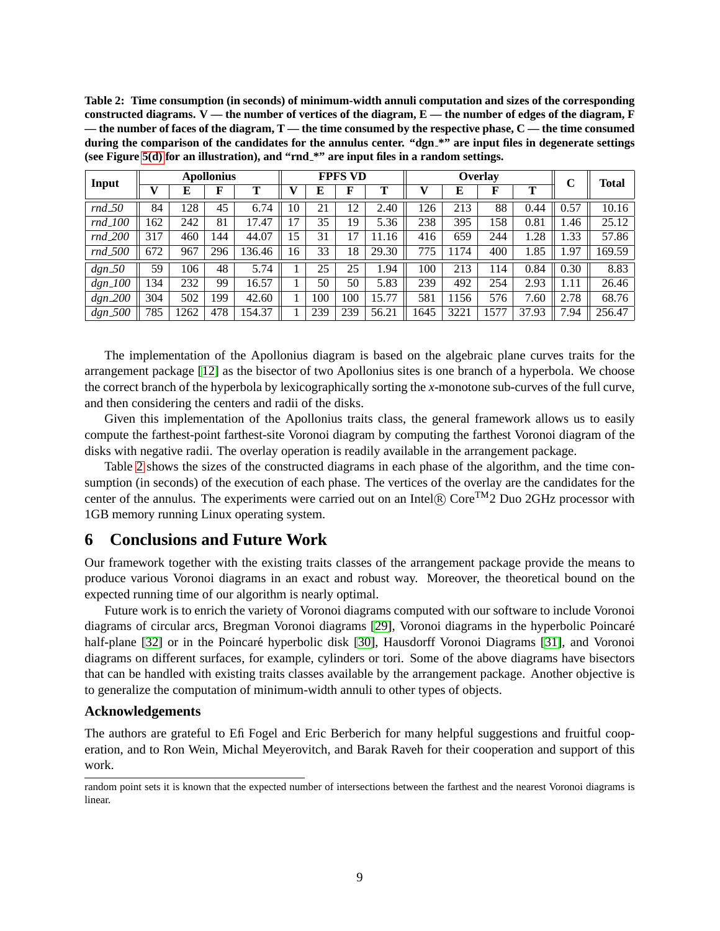<span id="page-8-0"></span>

| Table 2: Time consumption (in seconds) of minimum-width annuli computation and sizes of the corresponding      |
|----------------------------------------------------------------------------------------------------------------|
| constructed diagrams. $V$ — the number of vertices of the diagram, $E$ — the number of edges of the diagram, F |
| — the number of faces of the diagram, $T$ — the time consumed by the respective phase, $C$ — the time consumed |
| during the comparison of the candidates for the annulus center. "dgn_*" are input files in degenerate settings |
| (see Figure 5(d) for an illustration), and "rnd_*" are input files in a random settings.                       |

|            |      | <b>Apollonius</b> |     |        | <b>FPFS VD</b> |     |     | Overlay |      |      |      | C     | <b>Total</b> |        |
|------------|------|-------------------|-----|--------|----------------|-----|-----|---------|------|------|------|-------|--------------|--------|
| Input      |      |                   | F   | т      |                | E   | F   |         | V    | E    |      | Т     |              |        |
| $rnd_50$   | 84   | 128               | 45  | 6.74   | 10             | 21  | 12  | 2.40    | 126  | 213  | 88   | 0.44  | 0.57         | 10.16  |
| $rnd_100$  | 62   | 242               | 81  | 7.47   | 17             | 35  | 19  | 5.36    | 238  | 395  | .58  | 0.81  | .46          | 25.12  |
| $rnd_200$  | 317  | 460               | 144 | 44.07  | 15             | 31  | 17  | 11.16   | 416  | 659  | 244  | 1.28  | 1.33         | 57.86  |
| $rnd_500$  | 672  | 967               | 296 | 136.46 | 16             | 33  | 18  | 29.30   | 775  | 1174 | 400  | 1.85  | 1.97         | 169.59 |
| $dgn_50$   | 59   | 106               | 48  | 5.74   |                | 25  | 25  | 1.94    | 100  | 213  | 114  | 0.84  | 0.30         | 8.83   |
| $dgn\_100$ | l 34 | 232               | 99  | 16.57  |                | 50  | 50  | 5.83    | 239  | 492  | 254  | 2.93  | 1.11         | 26.46  |
| $dgn_200$  | 304  | 502               | 199 | 42.60  |                | 100 | 100 | 15.77   | 581  | 1156 | 576  | 7.60  | 2.78         | 68.76  |
| $dgn\_500$ | 785  | 1262              | 478 | 154.37 |                | 239 | 239 | 56.21   | 1645 | 3221 | 1577 | 37.93 | 7.94         | 256.47 |

The implementation of the Apollonius diagram is based on the algebraic plane curves traits for the arrangement package [\[12\]](#page-9-12) as the bisector of two Apollonius sites is one branch of a hyperbola. We choose the correct branch of the hyperbola by lexicographically sorting the *x*-monotone sub-curves of the full curve, and then considering the centers and radii of the disks.

Given this implementation of the Apollonius traits class, the general framework allows us to easily compute the farthest-point farthest-site Voronoi diagram by computing the farthest Voronoi diagram of the disks with negative radii. The overlay operation is readily available in the arrangement package.

Table [2](#page-8-0) shows the sizes of the constructed diagrams in each phase of the algorithm, and the time consumption (in seconds) of the execution of each phase. The vertices of the overlay are the candidates for the center of the annulus. The experiments were carried out on an Intel $\mathbb{R}$  Core<sup>TM</sup>2 Duo 2GHz processor with 1GB memory running Linux operating system.

# **6 Conclusions and Future Work**

Our framework together with the existing traits classes of the arrangement package provide the means to produce various Voronoi diagrams in an exact and robust way. Moreover, the theoretical bound on the expected running time of our algorithm is nearly optimal.

Future work is to enrich the variety of Voronoi diagrams computed with our software to include Voronoi diagrams of circular arcs, Bregman Voronoi diagrams [\[29\]](#page-10-12), Voronoi diagrams in the hyperbolic Poincaré half-plane [\[32\]](#page-10-13) or in the Poincaré hyperbolic disk [\[30\]](#page-10-14), Hausdorff Voronoi Diagrams [\[31\]](#page-10-1), and Voronoi diagrams on different surfaces, for example, cylinders or tori. Some of the above diagrams have bisectors that can be handled with existing traits classes available by the arrangement package. Another objective is to generalize the computation of minimum-width annuli to other types of objects.

#### **Acknowledgements**

The authors are grateful to Efi Fogel and Eric Berberich for many helpful suggestions and fruitful cooperation, and to Ron Wein, Michal Meyerovitch, and Barak Raveh for their cooperation and support of this work.

random point sets it is known that the expected number of intersections between the farthest and the nearest Voronoi diagrams is linear.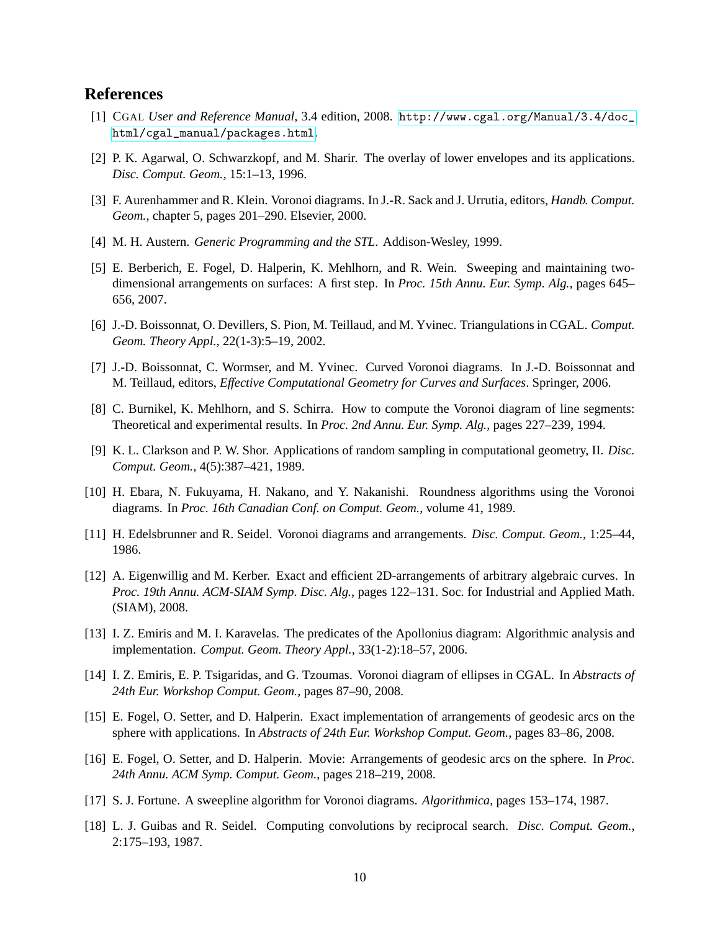## <span id="page-9-13"></span>**References**

- <span id="page-9-9"></span>[1] CGAL *User and Reference Manual*, 3.4 edition, 2008. [http://www.cgal.org/Manual/3.4/doc\\_](http://www.cgal.org/Manual/3.4/doc_html/cgal_manual/packages.html) [html/cgal\\_manual/packages.html](http://www.cgal.org/Manual/3.4/doc_html/cgal_manual/packages.html).
- <span id="page-9-0"></span>[2] P. K. Agarwal, O. Schwarzkopf, and M. Sharir. The overlay of lower envelopes and its applications. *Disc. Comput. Geom.*, 15:1–13, 1996.
- <span id="page-9-14"></span>[3] F. Aurenhammer and R. Klein. Voronoi diagrams. In J.-R. Sack and J. Urrutia, editors, *Handb. Comput. Geom.*, chapter 5, pages 201–290. Elsevier, 2000.
- <span id="page-9-10"></span>[4] M. H. Austern. *Generic Programming and the STL*. Addison-Wesley, 1999.
- [5] E. Berberich, E. Fogel, D. Halperin, K. Mehlhorn, and R. Wein. Sweeping and maintaining twodimensional arrangements on surfaces: A first step. In *Proc. 15th Annu. Eur. Symp. Alg.*, pages 645– 656, 2007.
- <span id="page-9-4"></span>[6] J.-D. Boissonnat, O. Devillers, S. Pion, M. Teillaud, and M. Yvinec. Triangulations in CGAL. *Comput. Geom. Theory Appl.*, 22(1-3):5–19, 2002.
- <span id="page-9-7"></span><span id="page-9-1"></span>[7] J.-D. Boissonnat, C. Wormser, and M. Yvinec. Curved Voronoi diagrams. In J.-D. Boissonnat and M. Teillaud, editors, *Effective Computational Geometry for Curves and Surfaces*. Springer, 2006.
- [8] C. Burnikel, K. Mehlhorn, and S. Schirra. How to compute the Voronoi diagram of line segments: Theoretical and experimental results. In *Proc. 2nd Annu. Eur. Symp. Alg.*, pages 227–239, 1994.
- <span id="page-9-3"></span>[9] K. L. Clarkson and P. W. Shor. Applications of random sampling in computational geometry, II. *Disc. Comput. Geom.*, 4(5):387–421, 1989.
- <span id="page-9-11"></span>[10] H. Ebara, N. Fukuyama, H. Nakano, and Y. Nakanishi. Roundness algorithms using the Voronoi diagrams. In *Proc. 16th Canadian Conf. on Comput. Geom.*, volume 41, 1989.
- <span id="page-9-12"></span><span id="page-9-8"></span>[11] H. Edelsbrunner and R. Seidel. Voronoi diagrams and arrangements. *Disc. Comput. Geom.*, 1:25–44, 1986.
- [12] A. Eigenwillig and M. Kerber. Exact and efficient 2D-arrangements of arbitrary algebraic curves. In *Proc. 19th Annu. ACM-SIAM Symp. Disc. Alg.*, pages 122–131. Soc. for Industrial and Applied Math. (SIAM), 2008.
- <span id="page-9-5"></span>[13] I. Z. Emiris and M. I. Karavelas. The predicates of the Apollonius diagram: Algorithmic analysis and implementation. *Comput. Geom. Theory Appl.*, 33(1-2):18–57, 2006.
- <span id="page-9-6"></span>[14] I. Z. Emiris, E. P. Tsigaridas, and G. Tzoumas. Voronoi diagram of ellipses in CGAL. In *Abstracts of 24th Eur. Workshop Comput. Geom.*, pages 87–90, 2008.
- <span id="page-9-16"></span>[15] E. Fogel, O. Setter, and D. Halperin. Exact implementation of arrangements of geodesic arcs on the sphere with applications. In *Abstracts of 24th Eur. Workshop Comput. Geom.*, pages 83–86, 2008.
- <span id="page-9-17"></span>[16] E. Fogel, O. Setter, and D. Halperin. Movie: Arrangements of geodesic arcs on the sphere. In *Proc. 24th Annu. ACM Symp. Comput. Geom.*, pages 218–219, 2008.
- <span id="page-9-15"></span><span id="page-9-2"></span>[17] S. J. Fortune. A sweepline algorithm for Voronoi diagrams. *Algorithmica*, pages 153–174, 1987.
- [18] L. J. Guibas and R. Seidel. Computing convolutions by reciprocal search. *Disc. Comput. Geom.*, 2:175–193, 1987.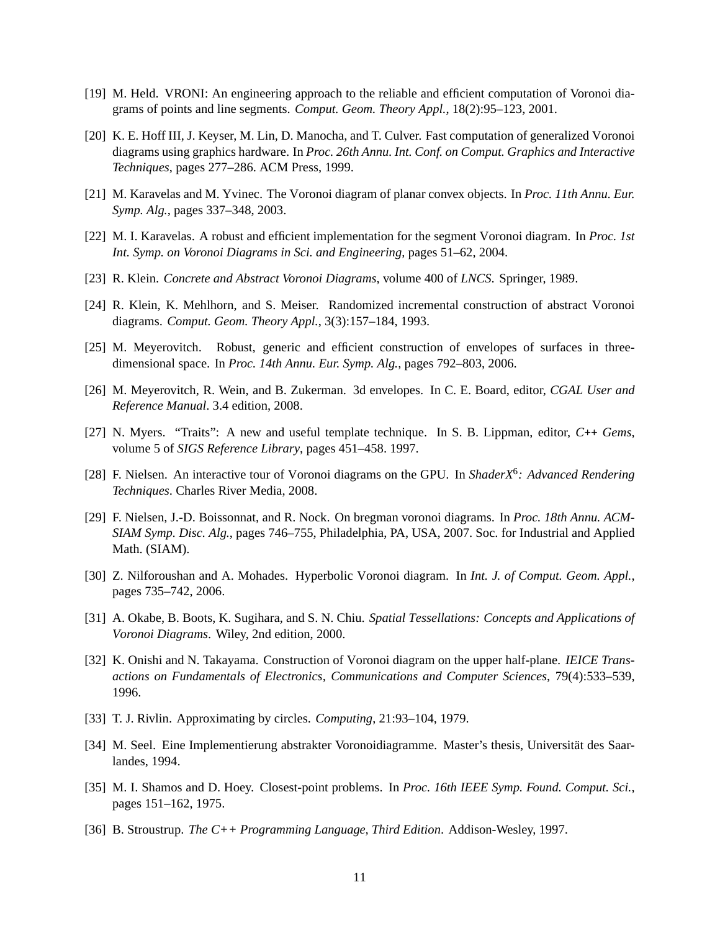- <span id="page-10-8"></span><span id="page-10-7"></span>[19] M. Held. VRONI: An engineering approach to the reliable and efficient computation of Voronoi diagrams of points and line segments. *Comput. Geom. Theory Appl.*, 18(2):95–123, 2001.
- [20] K. E. Hoff III, J. Keyser, M. Lin, D. Manocha, and T. Culver. Fast computation of generalized Voronoi diagrams using graphics hardware. In *Proc. 26th Annu. Int. Conf. on Comput. Graphics and Interactive Techniques*, pages 277–286. ACM Press, 1999.
- <span id="page-10-5"></span><span id="page-10-4"></span>[21] M. Karavelas and M. Yvinec. The Voronoi diagram of planar convex objects. In *Proc. 11th Annu. Eur. Symp. Alg.*, pages 337–348, 2003.
- <span id="page-10-2"></span>[22] M. I. Karavelas. A robust and efficient implementation for the segment Voronoi diagram. In *Proc. 1st Int. Symp. on Voronoi Diagrams in Sci. and Engineering*, pages 51–62, 2004.
- <span id="page-10-3"></span>[23] R. Klein. *Concrete and Abstract Voronoi Diagrams*, volume 400 of *LNCS*. Springer, 1989.
- <span id="page-10-10"></span>[24] R. Klein, K. Mehlhorn, and S. Meiser. Randomized incremental construction of abstract Voronoi diagrams. *Comput. Geom. Theory Appl.*, 3(3):157–184, 1993.
- <span id="page-10-16"></span>[25] M. Meyerovitch. Robust, generic and efficient construction of envelopes of surfaces in threedimensional space. In *Proc. 14th Annu. Eur. Symp. Alg.*, pages 792–803, 2006.
- <span id="page-10-17"></span>[26] M. Meyerovitch, R. Wein, and B. Zukerman. 3d envelopes. In C. E. Board, editor, *CGAL User and Reference Manual*. 3.4 edition, 2008.
- <span id="page-10-9"></span>[27] N. Myers. "Traits": A new and useful template technique. In S. B. Lippman, editor, *C*++ *Gems*, volume 5 of *SIGS Reference Library*, pages 451–458. 1997.
- [28] F. Nielsen. An interactive tour of Voronoi diagrams on the GPU. In *ShaderX*<sup>6</sup> *: Advanced Rendering Techniques*. Charles River Media, 2008.
- <span id="page-10-12"></span>[29] F. Nielsen, J.-D. Boissonnat, and R. Nock. On bregman voronoi diagrams. In *Proc. 18th Annu. ACM-SIAM Symp. Disc. Alg.*, pages 746–755, Philadelphia, PA, USA, 2007. Soc. for Industrial and Applied Math. (SIAM).
- <span id="page-10-14"></span>[30] Z. Nilforoushan and A. Mohades. Hyperbolic Voronoi diagram. In *Int. J. of Comput. Geom. Appl.*, pages 735–742, 2006.
- <span id="page-10-1"></span>[31] A. Okabe, B. Boots, K. Sugihara, and S. N. Chiu. *Spatial Tessellations: Concepts and Applications of Voronoi Diagrams*. Wiley, 2nd edition, 2000.
- <span id="page-10-13"></span>[32] K. Onishi and N. Takayama. Construction of Voronoi diagram on the upper half-plane. *IEICE Transactions on Fundamentals of Electronics, Communications and Computer Sciences*, 79(4):533–539, 1996.
- <span id="page-10-11"></span><span id="page-10-6"></span>[33] T. J. Rivlin. Approximating by circles. *Computing*, 21:93–104, 1979.
- [34] M. Seel. Eine Implementierung abstrakter Voronoidiagramme. Master's thesis, Universität des Saarlandes, 1994.
- <span id="page-10-0"></span>[35] M. I. Shamos and D. Hoey. Closest-point problems. In *Proc. 16th IEEE Symp. Found. Comput. Sci.*, pages 151–162, 1975.
- <span id="page-10-15"></span>[36] B. Stroustrup. *The C++ Programming Language, Third Edition*. Addison-Wesley, 1997.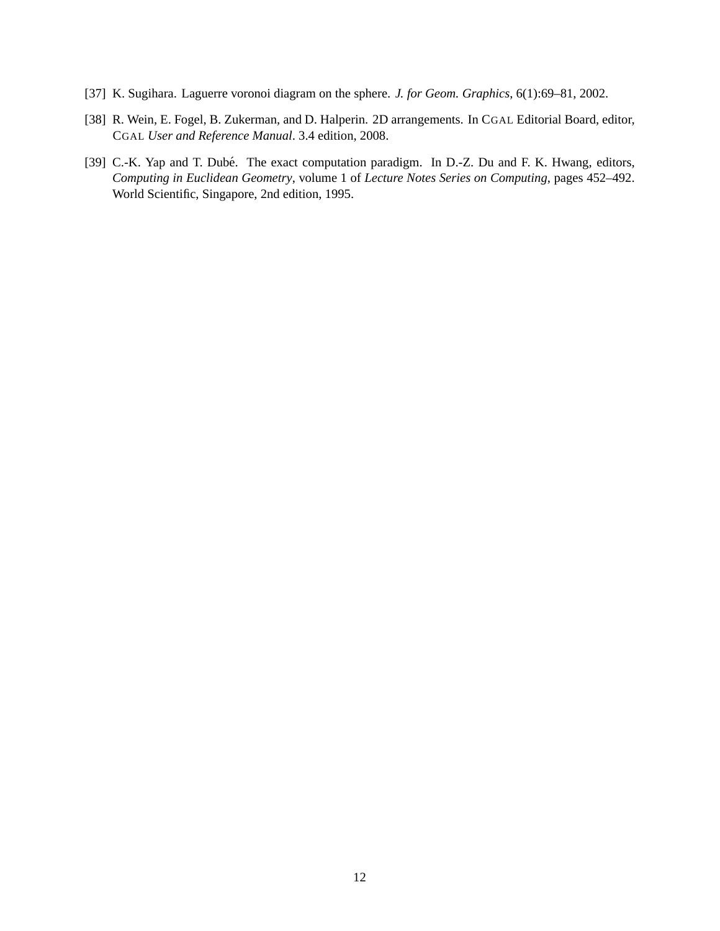- <span id="page-11-2"></span><span id="page-11-0"></span>[37] K. Sugihara. Laguerre voronoi diagram on the sphere. *J. for Geom. Graphics*, 6(1):69–81, 2002.
- <span id="page-11-1"></span>[38] R. Wein, E. Fogel, B. Zukerman, and D. Halperin. 2D arrangements. In CGAL Editorial Board, editor, CGAL *User and Reference Manual*. 3.4 edition, 2008.
- [39] C.-K. Yap and T. Dubé. The exact computation paradigm. In D.-Z. Du and F. K. Hwang, editors, *Computing in Euclidean Geometry*, volume 1 of *Lecture Notes Series on Computing*, pages 452–492. World Scientific, Singapore, 2nd edition, 1995.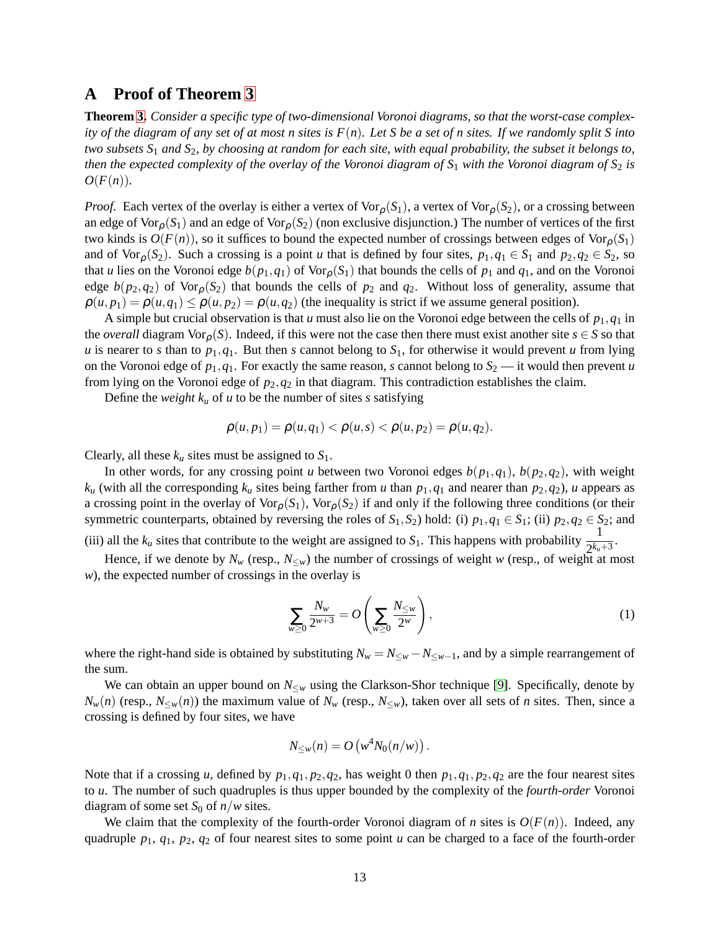## <span id="page-12-0"></span>**A Proof of Theorem [3](#page-4-1)**

**Theorem [3.](#page-4-1)** *Consider a specific type of two-dimensional Voronoi diagrams, so that the worst-case complexity of the diagram of any set of at most n sites is F*(*n*)*. Let S be a set of n sites. If we randomly split S into two subsets S*<sup>1</sup> *and S*2*, by choosing at random for each site, with equal probability, the subset it belongs to, then the expected complexity of the overlay of the Voronoi diagram of*  $S_1$  *with the Voronoi diagram of*  $S_2$  *is*  $O(F(n)).$ 

*Proof.* Each vertex of the overlay is either a vertex of  $\text{Vor}_{\rho}(S_1)$ , a vertex of  $\text{Vor}_{\rho}(S_2)$ , or a crossing between an edge of Vor<sub>p</sub> $(S_1)$  and an edge of Vor<sub>p</sub> $(S_2)$  (non exclusive disjunction.) The number of vertices of the first two kinds is  $O(F(n))$ , so it suffices to bound the expected number of crossings between edges of  $\text{Vor}_{\rho}(S_1)$ and of Vor<sub>p</sub>( $S_2$ ). Such a crossing is a point *u* that is defined by four sites,  $p_1, q_1 \in S_1$  and  $p_2, q_2 \in S_2$ , so that *u* lies on the Voronoi edge  $b(p_1, q_1)$  of Vor<sub>p</sub>(S<sub>1</sub>) that bounds the cells of  $p_1$  and  $q_1$ , and on the Voronoi edge  $b(p_2,q_2)$  of Vor<sub>p</sub> $(S_2)$  that bounds the cells of  $p_2$  and  $q_2$ . Without loss of generality, assume that  $\rho(u, p_1) = \rho(u, q_1) \leq \rho(u, p_2) = \rho(u, q_2)$  (the inequality is strict if we assume general position).

A simple but crucial observation is that *u* must also lie on the Voronoi edge between the cells of  $p_1, q_1$  in the *overall* diagram Vor<sub>p</sub>(*S*). Indeed, if this were not the case then there must exist another site  $s \in S$  so that *u* is nearer to *s* than to  $p_1, q_1$ . But then *s* cannot belong to  $S_1$ , for otherwise it would prevent *u* from lying on the Voronoi edge of  $p_1, q_1$ . For exactly the same reason, *s* cannot belong to  $S_2$  — it would then prevent *u* from lying on the Voronoi edge of  $p_2, q_2$  in that diagram. This contradiction establishes the claim.

Define the *weight*  $k_u$  of *u* to be the number of sites *s* satisfying

$$
\rho(u,p_1) = \rho(u,q_1) < \rho(u,s) < \rho(u,p_2) = \rho(u,q_2).
$$

Clearly, all these  $k_u$  sites must be assigned to  $S_1$ .

In other words, for any crossing point *u* between two Voronoi edges  $b(p_1, q_1)$ ,  $b(p_2, q_2)$ , with weight  $k_{u}$  (with all the corresponding  $k_{u}$  sites being farther from *u* than  $p_1, q_1$  and nearer than  $p_2, q_2$ ), *u* appears as a crossing point in the overlay of  $\text{Vor}_{\rho}(S_1)$ ,  $\text{Vor}_{\rho}(S_2)$  if and only if the following three conditions (or their symmetric counterparts, obtained by reversing the roles of  $S_1$ ,  $S_2$ ) hold: (i)  $p_1$ ,  $q_1 \in S_1$ ; (ii)  $p_2$ ,  $q_2 \in S_2$ ; and

(iii) all the  $k_u$  sites that contribute to the weight are assigned to  $S_1$ . This happens with probability  $\frac{1}{2^{k_u+3}}$ .

Hence, if we denote by  $N_w$  (resp.,  $N_{\leq w}$ ) the number of crossings of weight *w* (resp., of weight at most *w*), the expected number of crossings in the overlay is

<span id="page-12-1"></span>
$$
\sum_{w\geq 0} \frac{N_w}{2^{w+3}} = O\left(\sum_{w\geq 0} \frac{N_{\leq w}}{2^w}\right),\tag{1}
$$

where the right-hand side is obtained by substituting  $N_w = N_{\leq w} - N_{\leq w-1}$ , and by a simple rearrangement of the sum.

We can obtain an upper bound on  $N_{\leq w}$  using the Clarkson-Shor technique [\[9\]](#page-9-3). Specifically, denote by  $N_w(n)$  (resp.,  $N_{\leq w}(n)$ ) the maximum value of  $N_w$  (resp.,  $N_{\leq w}$ ), taken over all sets of *n* sites. Then, since a crossing is defined by four sites, we have

$$
N_{\leq w}(n) = O\left(w^4 N_0(n/w)\right).
$$

Note that if a crossing *u*, defined by  $p_1, q_1, p_2, q_2$ , has weight 0 then  $p_1, q_1, p_2, q_2$  are the four nearest sites to *u*. The number of such quadruples is thus upper bounded by the complexity of the *fourth-order* Voronoi diagram of some set  $S_0$  of  $n/w$  sites.

We claim that the complexity of the fourth-order Voronoi diagram of *n* sites is  $O(F(n))$ . Indeed, any quadruple *p*1, *q*1, *p*2, *q*<sup>2</sup> of four nearest sites to some point *u* can be charged to a face of the fourth-order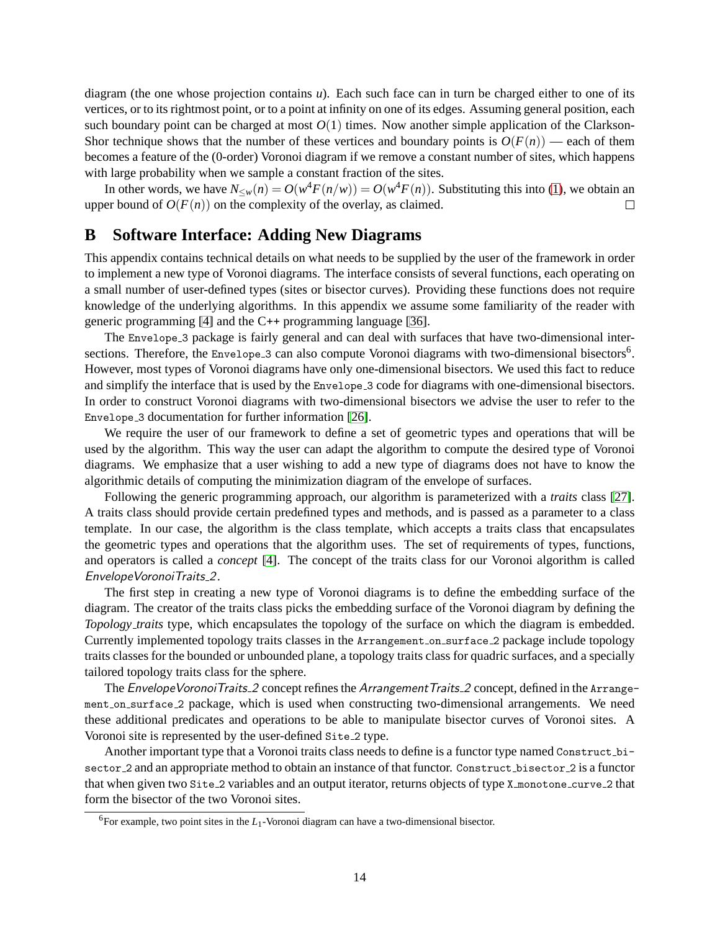diagram (the one whose projection contains *u*). Each such face can in turn be charged either to one of its vertices, or to its rightmost point, or to a point at infinity on one of its edges. Assuming general position, each such boundary point can be charged at most  $O(1)$  times. Now another simple application of the Clarkson-Shor technique shows that the number of these vertices and boundary points is  $O(F(n))$  — each of them becomes a feature of the (0-order) Voronoi diagram if we remove a constant number of sites, which happens with large probability when we sample a constant fraction of the sites.

In other words, we have  $N_{\leq w}(n) = O(w^4 F(n/w)) = O(w^4 F(n))$ . Substituting this into [\(1\)](#page-12-1), we obtain an upper bound of  $O(F(n))$  on the complexity of the overlay, as claimed.  $\Box$ 

# <span id="page-13-0"></span>**B Software Interface: Adding New Diagrams**

This appendix contains technical details on what needs to be supplied by the user of the framework in order to implement a new type of Voronoi diagrams. The interface consists of several functions, each operating on a small number of user-defined types (sites or bisector curves). Providing these functions does not require knowledge of the underlying algorithms. In this appendix we assume some familiarity of the reader with generic programming [\[4\]](#page-9-14) and the C++ programming language [\[36\]](#page-10-15).

The Envelope 3 package is fairly general and can deal with surfaces that have two-dimensional intersections. Therefore, the Envelope<sub>-3</sub> can also compute Voronoi diagrams with two-dimensional bisectors<sup>6</sup>. However, most types of Voronoi diagrams have only one-dimensional bisectors. We used this fact to reduce and simplify the interface that is used by the Envelope 3 code for diagrams with one-dimensional bisectors. In order to construct Voronoi diagrams with two-dimensional bisectors we advise the user to refer to the Envelope 3 documentation for further information [\[26\]](#page-10-16).

We require the user of our framework to define a set of geometric types and operations that will be used by the algorithm. This way the user can adapt the algorithm to compute the desired type of Voronoi diagrams. We emphasize that a user wishing to add a new type of diagrams does not have to know the algorithmic details of computing the minimization diagram of the envelope of surfaces.

Following the generic programming approach, our algorithm is parameterized with a *traits* class [\[27\]](#page-10-17). A traits class should provide certain predefined types and methods, and is passed as a parameter to a class template. In our case, the algorithm is the class template, which accepts a traits class that encapsulates the geometric types and operations that the algorithm uses. The set of requirements of types, functions, and operators is called a *concept* [\[4\]](#page-9-14). The concept of the traits class for our Voronoi algorithm is called EnvelopeVoronoiTraits 2.

The first step in creating a new type of Voronoi diagrams is to define the embedding surface of the diagram. The creator of the traits class picks the embedding surface of the Voronoi diagram by defining the *Topology traits* type, which encapsulates the topology of the surface on which the diagram is embedded. Currently implemented topology traits classes in the Arrangement on surface 2 package include topology traits classes for the bounded or unbounded plane, a topology traits class for quadric surfaces, and a specially tailored topology traits class for the sphere.

The EnvelopeVoronoiTraits 2 concept refines the Arrangement Traits 2 concept, defined in the Arrangement on surface 2 package, which is used when constructing two-dimensional arrangements. We need these additional predicates and operations to be able to manipulate bisector curves of Voronoi sites. A Voronoi site is represented by the user-defined Site 2 type.

Another important type that a Voronoi traits class needs to define is a functor type named Construct bisector 2 and an appropriate method to obtain an instance of that functor. Construct bisector 2 is a functor that when given two Site 2 variables and an output iterator, returns objects of type X monotone curve 2 that form the bisector of the two Voronoi sites.

<sup>&</sup>lt;sup>6</sup>For example, two point sites in the *L*<sub>1</sub>-Voronoi diagram can have a two-dimensional bisector.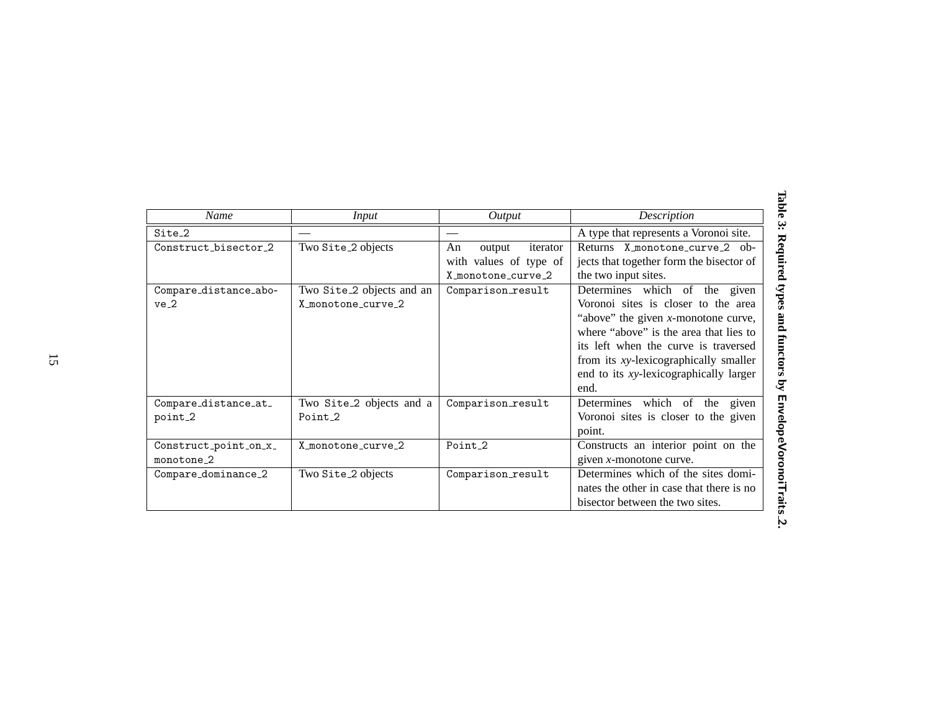<span id="page-14-0"></span>

| Name                  | Input                                 | Output                   | Description                              |
|-----------------------|---------------------------------------|--------------------------|------------------------------------------|
| Site <sub>2</sub>     |                                       |                          | A type that represents a Voronoi site.   |
| Construct bisector 2  | Two Site_2 objects                    | iterator<br>An<br>output | Returns X monotone curve 2 ob-           |
|                       |                                       | with values of type of   | jects that together form the bisector of |
|                       |                                       | X monotone curve 2       | the two input sites.                     |
| Compare_distance_abo- | Two Site <sub>-2</sub> objects and an | Comparison_result        | Determines which of the given            |
| ve <sub>2</sub>       | X monotone curve 2                    |                          | Voronoi sites is closer to the area      |
|                       |                                       |                          | "above" the given $x$ -monotone curve,   |
|                       |                                       |                          | where "above" is the area that lies to   |
|                       |                                       |                          | its left when the curve is traversed     |
|                       |                                       |                          | from its xy-lexicographically smaller    |
|                       |                                       |                          | end to its xy-lexicographically larger   |
|                       |                                       |                          | end.                                     |
| Compare_distance_at_  | Two Site_2 objects and a              | Comparison_result        | Determines which of<br>the<br>given      |
| point_2               | Point <sub>2</sub>                    |                          | Voronoi sites is closer to the given     |
|                       |                                       |                          | point.                                   |
| Construct_point_on_x_ | X monotone curve 2                    | Point <sub>2</sub>       | Constructs an interior point on the      |
| monotone 2            |                                       |                          | given $x$ -monotone curve.               |
| Compare_dominance_2   | Two Site_2 objects                    | Comparison_result        | Determines which of the sites domi-      |
|                       |                                       |                          | nates the other in case that there is no |
|                       |                                       |                          | bisector between the two sites.          |